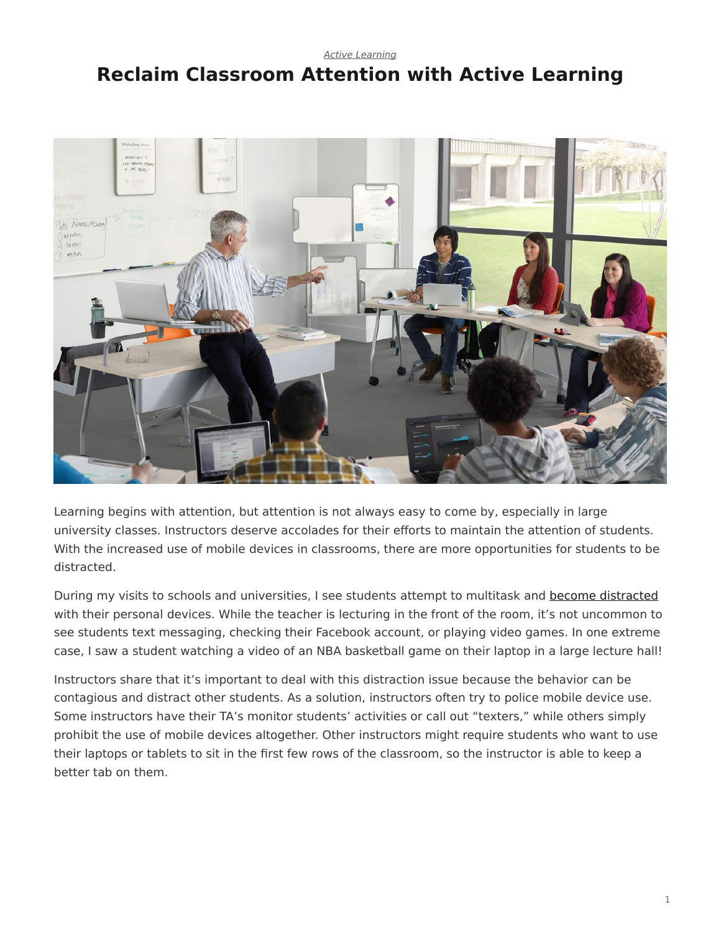#### *[Active Learning](https://www.steelcase.com/research/topics/active-learning/)*

# <span id="page-0-0"></span>**Reclaim Classroom Attention with Active Learning**



Learning begins with attention, but attention is not always easy to come by, especially in large university classes. Instructors deserve accolades for their efforts to maintain the attention of students. With the increased use of mobile devices in classrooms, there are more opportunities for students to be distracted.

During my visits to schools and universities, I see students attempt to multitask and [become distracted](https://www.steelcase.com/insights/articles/class-can-i-have-your-attention/) with their personal devices. While the teacher is lecturing in the front of the room, it's not uncommon to see students text messaging, checking their Facebook account, or playing video games. In one extreme case, I saw a student watching a video of an NBA basketball game on their laptop in a large lecture hall!

Instructors share that it's important to deal with this distraction issue because the behavior can be contagious and distract other students. As a solution, instructors often try to police mobile device use. Some instructors have their TA's monitor students' activities or call out "texters," while others simply prohibit the use of mobile devices altogether. Other instructors might require students who want to use their laptops or tablets to sit in the first few rows of the classroom, so the instructor is able to keep a better tab on them.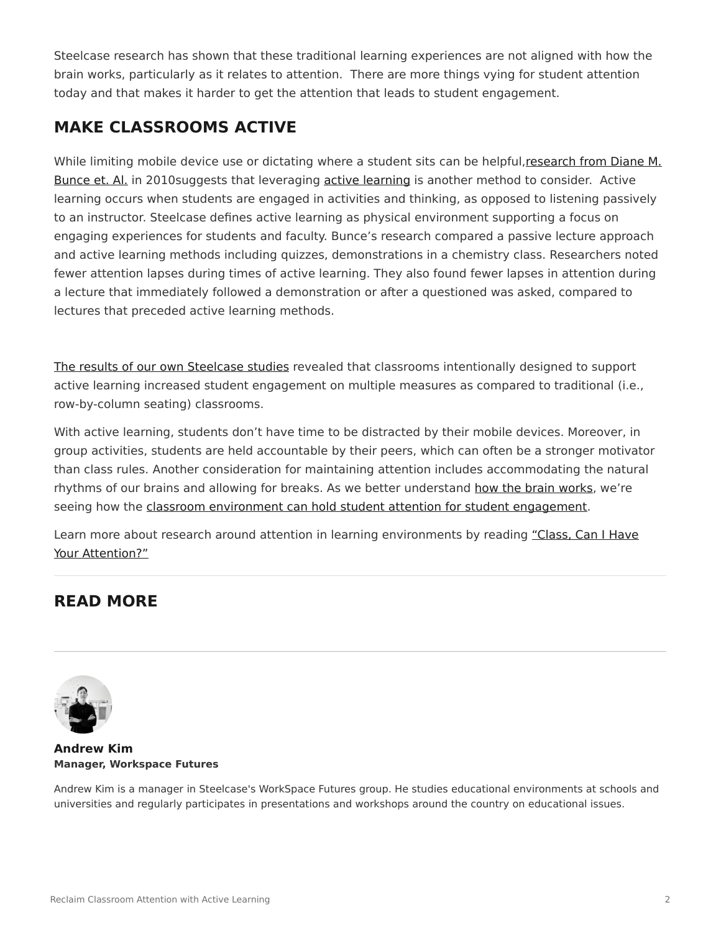Steelcase research has shown that these traditional learning experiences are not aligned with how the brain works, particularly as it relates to attention. There are more things vying for student attention today and that makes it harder to get the attention that leads to student engagement.

## **MAKE CLASSROOMS ACTIVE**

While limiting mobile device use or dictating where a student sits can be helpful, [research](http://pubs.acs.org/doi/abs/10.1021/ed100409p) [from Diane M.](http://pubs.acs.org/doi/abs/10.1021/ed100409p) [Bunce et. Al.](http://pubs.acs.org/doi/abs/10.1021/ed100409p) in 2010suggests that leveraging [active learning](https://www.steelcase.com/insights/articles/a-new-learning-curve-2/) is another method to consider. Active learning occurs when students are engaged in activities and thinking, as opposed to listening passively to an instructor. Steelcase defines active learning as physical environment supporting a focus on engaging experiences for students and faculty. Bunce's research compared a passive lecture approach and active learning methods including quizzes, demonstrations in a chemistry class. Researchers noted fewer attention lapses during times of active learning. They also found fewer lapses in attention during a lecture that immediately followed a demonstration or after a questioned was asked, compared to lectures that preceded active learning methods.

[The results of our own Steelcase studies](https://www.steelcase.com/insights/white-papers/how-classroom-design-affects-student-engagement/) revealed that classrooms intentionally designed to support active learning increased student engagement on multiple measures as compared to traditional (i.e., row-by-column seating) classrooms.

With active learning, students don't have time to be distracted by their mobile devices. Moreover, in group activities, students are held accountable by their peers, which can often be a stronger motivator than class rules. Another consideration for maintaining attention includes accommodating the natural rhythms of our brains and allowing for breaks. As we better understand [how the brain works,](https://www.steelcase.com/insights/articles/think-better/) we're seeing how the [classroom environment can hold student attention for student engagement.](https://www.steelcase.com/insights/white-papers/how-classroom-design-affects-student-engagement/)

Learn more about research around attention in learning environments by reading ["Class, Can I Have](https://www.steelcase.com/insights/articles/class-can-i-have-your-attention/) [Your Attention?"](https://www.steelcase.com/insights/articles/class-can-i-have-your-attention/)

### **READ MORE**



#### **[Andrew Kim](https://www.steelcase.com/research/articles/author/andrew-kim/) Manager, Workspace Futures**

Andrew Kim is a manager in Steelcase's WorkSpace Futures group. He studies educational environments at schools and universities and regularly participates in presentations and workshops around the country on educational issues.